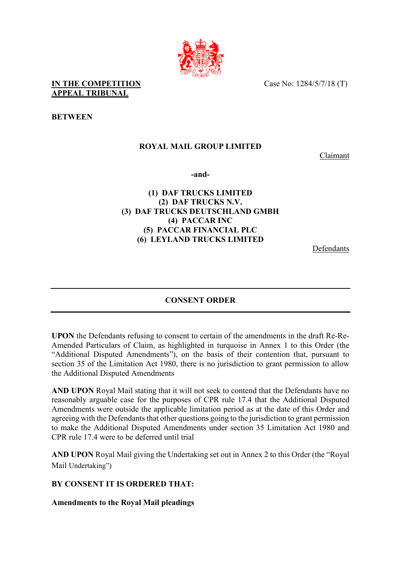Case No: 1284/5/7/18 (T)



**BETWEEN**

# **ROYAL MAIL GROUP LIMITED**

Claimant

**-and-** 

# **(1) DAF TRUCKS LIMITED (2) DAF TRUCKS N.V. (3) DAF TRUCKS DEUTSCHLAND GMBH (4) PACCAR INC (5) PACCAR FINANCIAL PLC (6) LEYLAND TRUCKS LIMITED**

Defendants

# **CONSENT ORDER**

**UPON** the Defendants refusing to consent to certain of the amendments in the draft Re-Re-Amended Particulars of Claim, as highlighted in turquoise in Annex 1 to this Order (the "Additional Disputed Amendments"), on the basis of their contention that, pursuant to section 35 of the Limitation Act 1980, there is no jurisdiction to grant permission to allow the Additional Disputed Amendments

**AND UPON** Royal Mail stating that it will not seek to contend that the Defendants have no reasonably arguable case for the purposes of CPR rule 17.4 that the Additional Disputed Amendments were outside the applicable limitation period as at the date of this Order and agreeing with the Defendants that other questions going to the jurisdiction to grant permission to make the Additional Disputed Amendments under section 35 Limitation Act 1980 and CPR rule 17.4 were to be deferred until trial

**AND UPON** Royal Mail giving the Undertaking set out in Annex 2 to this Order (the "Royal Mail Undertaking")

#### **BY CONSENT IT IS ORDERED THAT:**

**Amendments to the Royal Mail pleadings**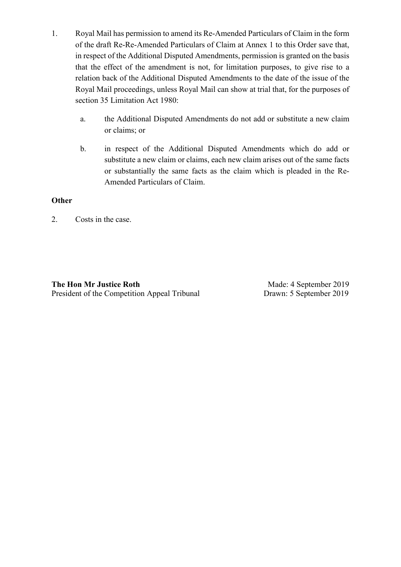- 1. Royal Mail has permission to amend its Re-Amended Particulars of Claim in the form of the draft Re-Re-Amended Particulars of Claim at Annex 1 to this Order save that, in respect of the Additional Disputed Amendments, permission is granted on the basis that the effect of the amendment is not, for limitation purposes, to give rise to a relation back of the Additional Disputed Amendments to the date of the issue of the Royal Mail proceedings, unless Royal Mail can show at trial that, for the purposes of section 35 Limitation Act 1980:
	- a. the Additional Disputed Amendments do not add or substitute a new claim or claims; or
	- b. in respect of the Additional Disputed Amendments which do add or substitute a new claim or claims, each new claim arises out of the same facts or substantially the same facts as the claim which is pleaded in the Re-Amended Particulars of Claim.

### **Other**

2. Costs in the case.

**The Hon Mr Justice Roth** President of the Competition Appeal Tribunal

Made: 4 September 2019 Drawn: 5 September 2019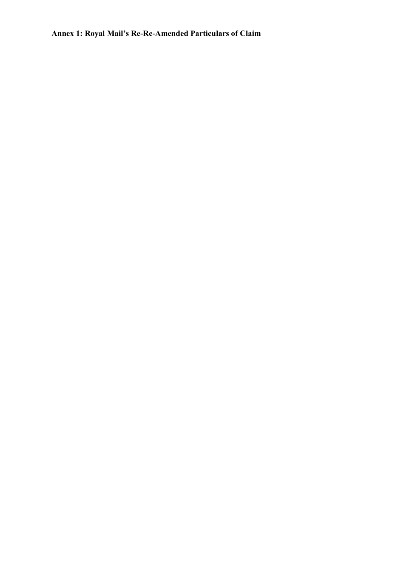**Annex 1: Royal Mail's Re-Re-Amended Particulars of Claim**